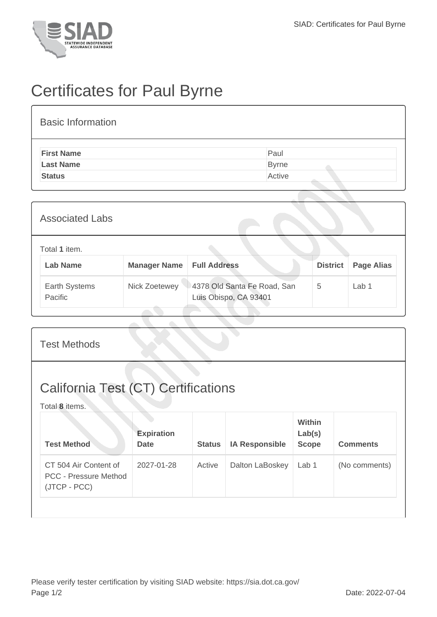

## Certificates for Paul Byrne

## Basic Information

| <b>First Name</b> | Paul         |
|-------------------|--------------|
| <b>Last Name</b>  | <b>Byrne</b> |
| <b>Status</b>     | Active       |
|                   |              |

| <b>Associated Labs</b>           |                     |                                                      |                 |                   |
|----------------------------------|---------------------|------------------------------------------------------|-----------------|-------------------|
| Total 1 item.<br><b>Lab Name</b> | <b>Manager Name</b> | <b>Full Address</b>                                  | <b>District</b> | <b>Page Alias</b> |
| Earth Systems<br>Pacific         | Nick Zoetewey       | 4378 Old Santa Fe Road, San<br>Luis Obispo, CA 93401 | 5               | Lab <sub>1</sub>  |

## Test Methods California Test (CT) Certifications Total **8** items. **Test Method Expiration Date Status IA Responsible Within Lab(s) Scope Comments** CT 504 Air Content of PCC - Pressure Method (JTCP - PCC) 2027-01-28 Active Dalton LaBoskey Lab 1 (No comments)